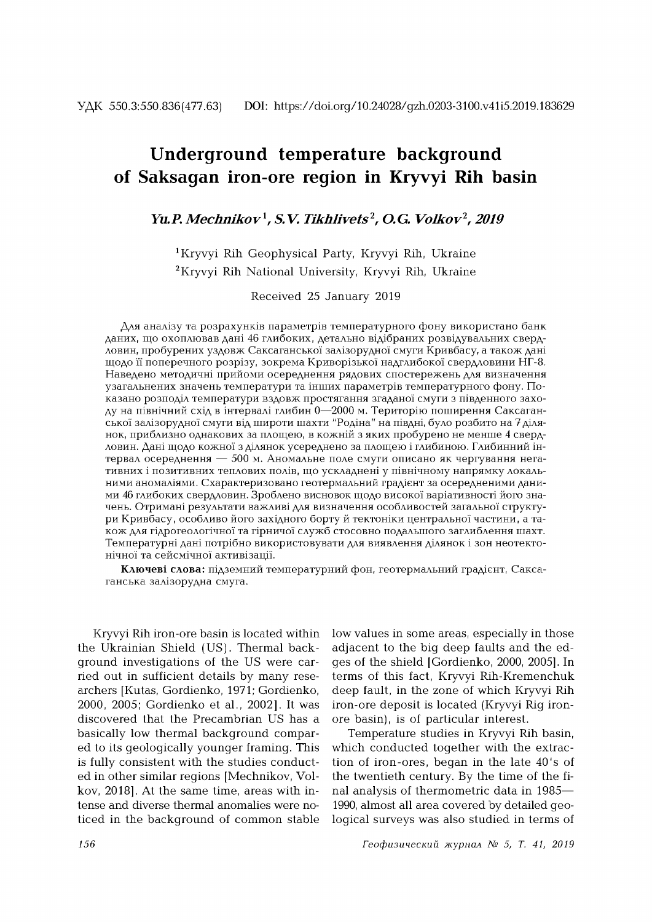# **Underground temperature background of Saksagan iron-ore region in Kryvyi Rih basin**

## *Yu.P. M echnikov 1, S.V. Tikhlivets***2,** *O.G. Volkov***2,** *2019*

1 Kryvyi Rih Geophysical Party, Kryvyi Rih, Ukraine 2 Kryvyi Rih National University, Kryvyi Rih, Ukraine

Received 25 January 2019

Для аналізу та розрахунків параметрів температурного фону використано банк даних, що охоплював дані 46 глибоких, детально відібраних розвідувальних свердловин, пробурених уздовж Саксаганської залізорудної смуги Кривбасу, а також дані щодо її поперечного розрізу, зокрема Криворізької надглибокої свердловини НГ-8. Наведено методичні прийоми осереднення рядових спостережень для визначення узагальнених значень температури та інших параметрів температурного фону. Показано розподіл температури вздовж простягання згаданої смуги з південного заходу на північний схід в інтервалі глибин 0—2000 м. Територію поширення Саксаганської залізорудної смуги від широти шахти "Родіна" на півдні, було розбито на 7 ділянок, приблизно однакових за площею, в кожній з яких пробурено не менше 4 свердловин. Дані щодо кожної з ділянок усереднено за площею і глибиною. Глибинний інтервал осереднення — 500 м. Аномальне поле смуги описано як чергування негативних і позитивних теплових полів, що ускладнені у північному напрямку локальними аномаліями. Схарактеризовано геотермальний градієнт за осередненими даними 46 глибоких свердловин. Зроблено висновок щодо високої варіативності його значень. Отримані результати важливі для визначення особливостей загальної структури Кривбасу, особливо його західного борту й тектоніки центральної частини, а також для гідрогеологічної та гірничої служб стосовно подальшого заглиблення шахт. Температурнi данi потрiбно використовувати для виявлення дiлянок i зон неотектонічної та сейсмічної активізації.

Ключеві слова: підземний температурний фон, геотермальний градієнт, Саксаганська залізорудна смуга.

Kryvyi Rih iron-ore basin is located within the Ukrainian Shield (US). Thermal background investigations of the US were carried out in sufficient details by many researchers [Kutas, Gordienko, 1971; Gordienko, 2000, 2005; Gordienko et al., 2002]. It was discovered that the Precambrian US has a basically low thermal background compared to its geologically younger framing. This is fully consistent with the studies conducted in other similar regions [Mechnikov, Volkov, 2018]. At the same time, areas with intense and diverse thermal anomalies were noticed in the background of common stable

low values in some areas, especially in those adjacent to the big deep faults and the edges of the shield [Gordienko, 2000, 2005]. In terms of this fact, Kryvyi Rih-Kremenchuk deep fault, in the zone of which Kryvyi Rih iron-ore deposit is located (Kryvyi Rig ironore basin), is of particular interest.

Temperature studies in Kryvyi Rih basin, which conducted together with the extraction of iron-ores, began in the late 40's of the twentieth century. By the time of the final analysis of thermometric data in 1985— 1990, almost all area covered by detailed geological surveys was also studied in terms of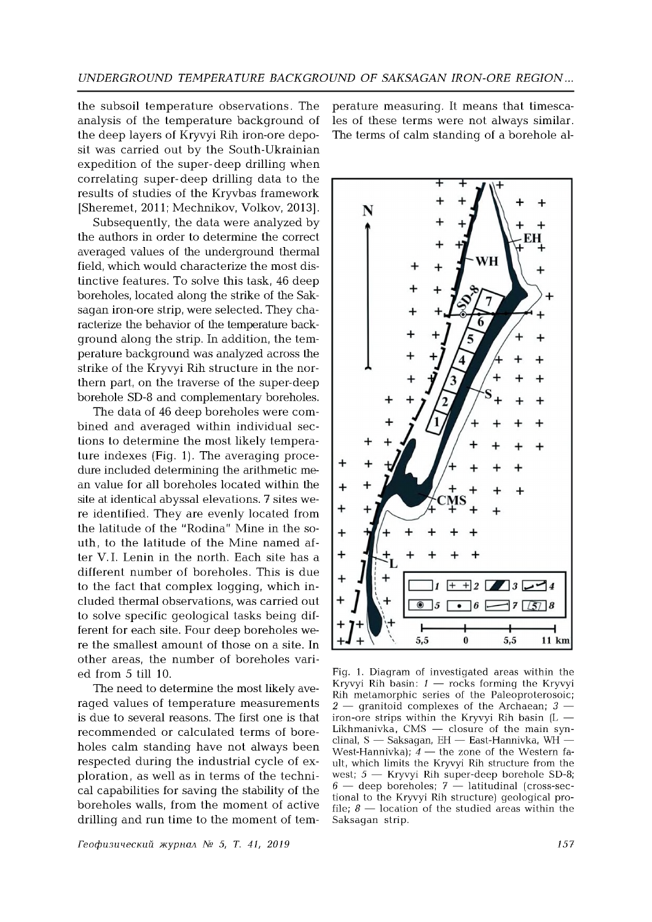the subsoil temperature observations. The analysis of the temperature background of the deep layers of Kryvyi Rih iron-ore deposit was carried out by the South-Ukrainian expedition of the super-deep drilling when correlating super- deep drilling data to the results of studies of the Kryvbas framework [Sheremet, 2011; Mechnikov, Volkov, 2013].

Subsequently, the data were analyzed by the authors in order to determine the correct averaged values of the underground thermal field, which would characterize the most distinctive features. To solve this task, 46 deep boreholes, located along the strike of the Saksagan iron-ore strip, were selected. They characterize the behavior of the temperature background along the strip. In addition, the tem perature background was analyzed across the strike of the Kryvyi Rih structure in the northern part, on the traverse of the super-deep borehole SD-8 and complementary boreholes.

The data of 46 deep boreholes were combined and averaged within individual sections to determine the most likely temperature indexes (Fig. 1). The averaging procedure included determining the arithmetic mean value for all boreholes located within the site at identical abyssal elevations. 7 sites were identified. They are evenly located from the latitude of the "Rodina" Mine in the south, to the latitude of the Mine named after V. I. Lenin in the north. Each site has a different number of boreholes. This is due to the fact that complex logging, which included thermal observations, was carried out to solve specific geological tasks being different for each site. Four deep boreholes were the smallest amount of those on a site. In other areas, the number of boreholes varied from 5 till 10.

The need to determine the most likely averaged values of temperature measurements is due to several reasons. The first one is that recommended or calculated terms of boreholes calm standing have not always been respected during the industrial cycle of exploration, as well as in terms of the technical capabilities for saving the stability of the boreholes walls, from the moment of active drilling and run time to the moment of tem

*Геофизический журнал № 5, T. 41, 2019 157*

perature measuring. It means that timescales of these terms were not always similar. The terms of calm standing of a borehole al-



Fig. 1. Diagram of investigated areas within the Kryvyi Rih basin: *1* — rocks forming the Kryvyi Rih metamorphic series of the Paleoproterosoic; *2* — granitoid complexes of the Archaean; *3* iron-ore strips within the Kryvyi Rih basin  $(L -$ Likhmanivka, CMS — closure of the main synclinal, S — Saksagan, EH — East-Hannivka, WH — West-Hannivka);  $4$  — the zone of the Western fault, which limits the Kryvyi Rih structure from the west;  $5 -$  Kryvyi Rih super-deep borehole SD-8;  $6$  — deep boreholes;  $7$  — latitudinal (cross-sectional to the Kryvyi Rih structure) geological profile;  $\delta$  — location of the studied areas within the Saksagan strip.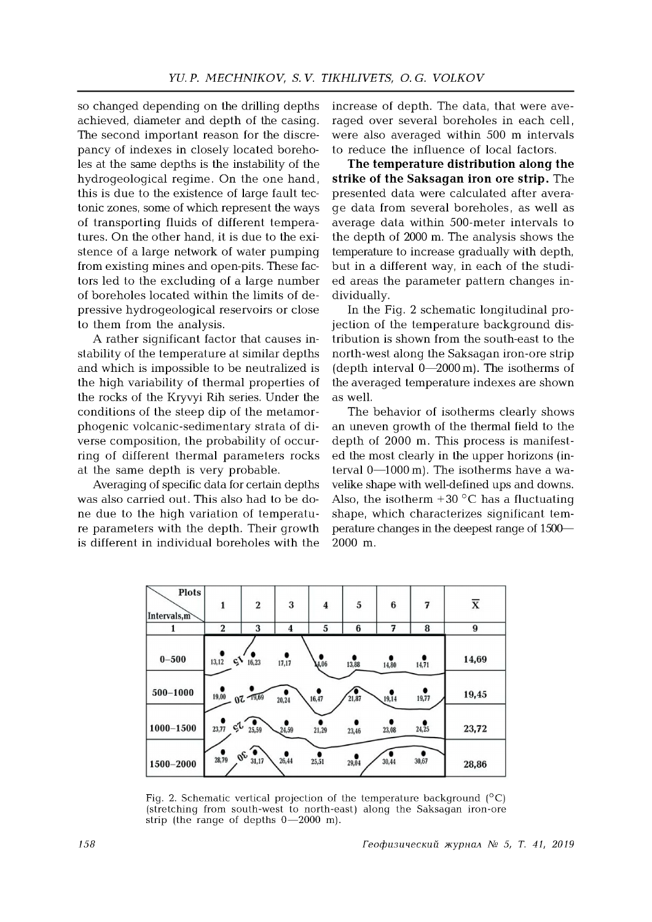*so* changed depending on the drilling depths achieved, diameter and depth of the casing. The second important reason for the discrepancy of indexes in closely located boreholes at the same depths is the instability of the hydrogeological regime. On the one hand, this is due to the existence of large fault tectonic zones, some of which represent the ways of transporting fluids of different temperatures. On the other hand, it is due to the existence of a large network of water pumping from existing mines and open-pits. These factors led to the excluding of a large number of boreholes located within the limits of depressive hydrogeological reservoirs or close to them from the analysis.

A rather significant factor that causes instability of the temperature at similar depths and which is impossible to be neutralized is the high variability of thermal properties of the rocks of the Kryvyi Rih series. Under the conditions of the steep dip of the metamorphogenic volcanic-sedimentary strata of diverse composition, the probability of occurring of different thermal parameters rocks at the same depth is very probable.

Averaging of specific data for certain depths was also carried out. This also had to be done due to the high variation of temperature parameters with the depth. Their growth is different in individual boreholes with the

increase of depth. The data, that were averaged over several boreholes in each cell, were also averaged within 500 m intervals to reduce the influence of local factors.

**The temperature distribution along the strike of the Saksagan iron ore strip.** The presented data were calculated after average data from several boreholes, as well as average data within 500-meter intervals to the depth of 2000 m. The analysis shows the temperature to increase gradually with depth, but in a different way, in each of the studied areas the parameter pattern changes individually.

In the Fig. 2 schematic longitudinal projection of the temperature background distribution is shown from the south-east to the north-west along the Saksagan iron-ore strip (depth interval 0—2000 m). The isotherms of the averaged temperature indexes are shown as well.

The behavior of isotherms clearly shows an uneven growth of the thermal field to the depth of 2000 m. This process is manifested the most clearly in the upper horizons (interval 0—1000 m). The isotherms have a wavelike shape with well-defined ups and downs. Also, the isotherm  $+30\degree$ C has a fluctuating shape, which characterizes significant tem perature changes in the deepest range of 1500— 2000 m.



Fig. 2. Schematic vertical projection of the temperature background  $(^{\circ}C)$ (stretching from south-west to north-east) along the Saksagan iron-ore strip (the range of depths 0—2000 m).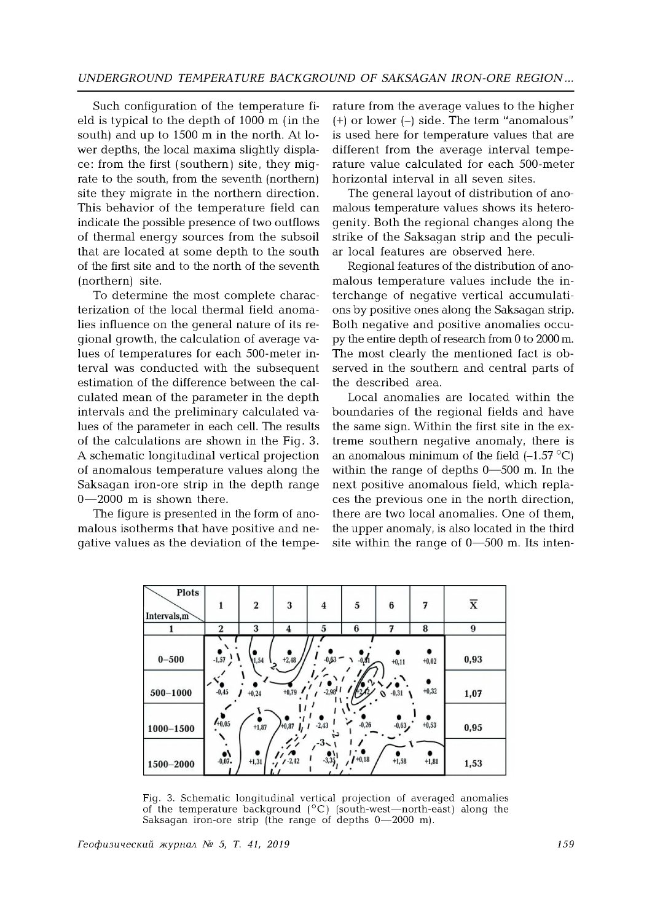Such configuration of the temperature field is typical to the depth of 1000 m (in the south) and up to 1500 m in the north. At lower depths, the local maxima slightly displace : from the first (southern) site, they migrate to the south, from the seventh (northern) site they migrate in the northern direction. This behavior of the temperature field can indicate the possible presence of two outflows of thermal energy sources from the subsoil that are located at some depth to the south of the first site and to the north of the seventh (northern) site.

To determine the most complete characterization of the local thermal field anomalies influence on the general nature of its regional growth, the calculation of average values of temperatures for each 500-meter interval was conducted with the subsequent estimation of the difference between the calculated mean of the parameter in the depth intervals and the preliminary calculated values of the parameter in each cell. The results of the calculations are shown in the Fig. 3. A schematic longitudinal vertical projection of anomalous tem perature values along the Saksagan iron-ore strip in the depth range 0—2000 m is shown there.

The figure is presented in the form of anomalous isotherms that have positive and negative values as the deviation of the tempe-

rature from the average values to the higher  $(+)$  or lower  $(-)$  side. The term "anomalous" is used here for temperature values that are different from the average interval temperature value calculated for each 500-meter horizontal interval in all seven sites.

The general layout of distribution of anomalous temperature values shows its heterogenity. Both the regional changes along the strike of the Saksagan strip and the peculiar local features are observed here.

Regional features of the distribution of anomalous temperature values include the interchange of negative vertical accumulations by positive ones along the Saksagan strip. Both negative and positive anomalies occupy the entire depth of research from 0 to 2000 m. The most clearly the mentioned fact is observed in the southern and central parts of the described area.

Local anomalies are located within the boundaries of the regional fields and have the same sign. Within the first site in the extreme southern negative anomaly, there is an anomalous minimum of the field  $(-1.57 \degree C)$ within the range of depths 0—500 m. In the next positive anomalous field, which replaces the previous one in the north direction, there are two local anomalies. One of them, the upper anomaly, is also located in the third site within the range of 0—500 m. Its inten-



Fig. 3. Schematic longitudinal vertical projection of averaged anomalies of the temperature background  $(^{\circ}C)$  (south-west—north-east) along the Saksagan iron-ore strip (the range of depths 0—2000 m).

*Геофизический журнал № 5, T. 41, 2019 159*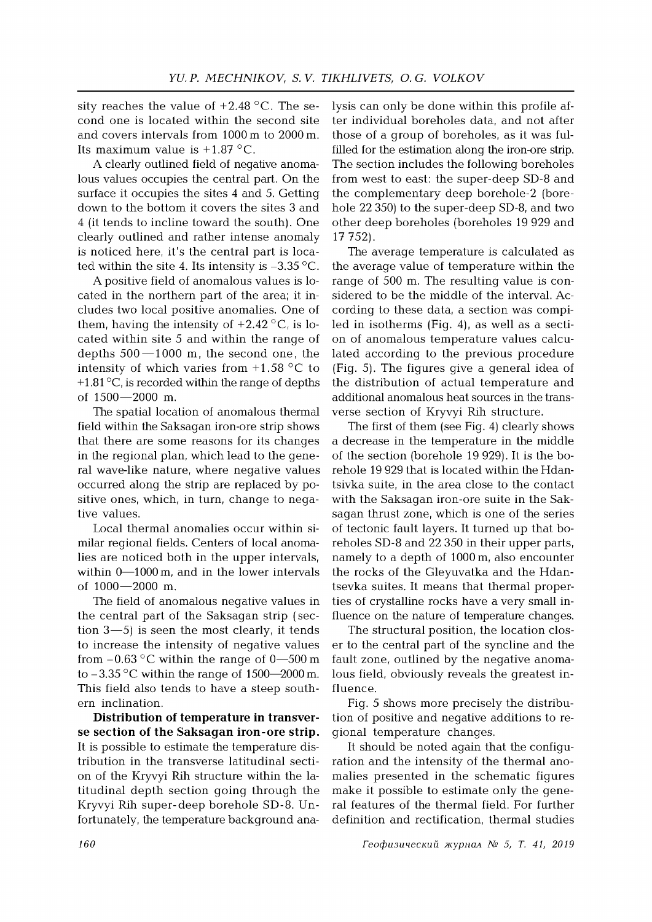sity reaches the value of  $+2.48$  °C. The second one is located within the second site and covers intervals from 1000 m to 2000 m. Its maximum value is  $+1.87$  °C.

A clearly outlined field of negative anomalous values occupies the central part. On the surface it occupies the sites 4 and 5. Getting down to the bottom it covers the sites 3 and 4 (it tends to incline toward the south). One clearly outlined and rather intense anomaly is noticed here, it's the central part is located within the site 4. Its intensity is  $-3.35$  °C.

A positive field of anomalous values is located in the northern part of the area; it includes two local positive anomalies. One of them, having the intensity of  $+2.42\degree C$ , is located within site 5 and within the range of depths  $500 - 1000$  m, the second one, the intensity of which varies from  $+1.58$  °C to  $+1.81\,^{\circ}\text{C}$ , is recorded within the range of depths of 1500—2000 m.

The spatial location of anomalous thermal field within the Saksagan iron-ore strip shows that there are some reasons for its changes in the regional plan, which lead to the general wave-like nature, where negative values occurred along the strip are replaced by positive ones, which, in turn, change to negative values.

Local thermal anomalies occur within similar regional fields. Centers of local anomalies are noticed both in the upper intervals, within 0—1000 m, and in the lower intervals of 1000—2000 m.

The field of anomalous negative values in the central part of the Saksagan strip ( section 3—5) is seen the most clearly, it tends to increase the intensity of negative values from  $-0.63$  °C within the range of 0—500 m to  $-3.35$  °C within the range of 1500—2000 m. This field also tends to have a steep southern inclination.

**Distribution of temperature in transverse section of the Saksagan iron-ore strip.** It is possible to estimate the temperature distribution in the transverse latitudinal section of the Kryvyi Rih structure within the latitudinal depth section going through the Kryvyi Rih super-deep borehole SD-8. Unfortunately, the temperature background analysis can only be done within this profile after individual boreholes data, and not after those of a group of boreholes, as it was fulfilled for the estimation along the iron-ore strip. The section includes the following boreholes from west to east: the super-deep SD-8 and the complementary deep borehole-2 (borehole 22 350) to the super-deep SD-8, and two other deep boreholes (boreholes 19 929 and 17 752).

The average temperature is calculated as the average value of temperature within the range of 500 m. The resulting value is considered to be the middle of the interval. According to these data, a section was compiled in isotherms (Fig. 4), as well as a section of anomalous temperature values calculated according to the previous procedure (Fig. 5). The figures give a general idea of the distribution of actual temperature and additional anomalous heat sources in the transverse section of Kryvyi Rih structure.

The first of them (see Fig. 4) clearly shows a decrease in the temperature in the middle of the section (borehole 19 929). It is the borehole 19 929 that is located within the Hdantsivka suite, in the area close to the contact with the Saksagan iron-ore suite in the Saksagan thrust zone, which is one of the series of tectonic fault layers. It turned up that boreholes SD-8 and 22 350 in their upper parts, namely to a depth of 1000 m, also encounter the rocks of the Gleyuvatka and the Hdantsevka suites. It means that thermal properties of crystalline rocks have a very small influence on the nature of temperature changes.

The structural position, the location closer to the central part of the syncline and the fault zone, outlined by the negative anomalous field, obviously reveals the greatest influence.

Fig. 5 shows more precisely the distribution of positive and negative additions to regional tem perature changes.

It should be noted again that the configuration and the intensity of the thermal anomalies presented in the schematic figures make it possible to estimate only the general features of the thermal field. For further definition and rectification, thermal studies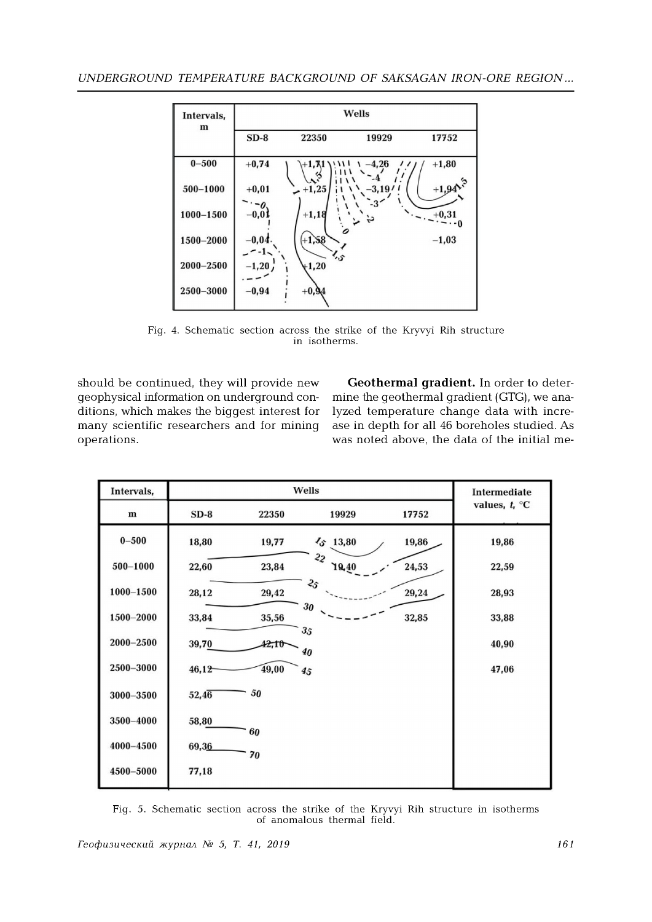

Fig. 4. Schematic section across the strike of the Kryvyi Rih structure in isotherms.

should be continued, they will provide new geophysical information on underground conditions, which makes the biggest interest for many scientific researchers and for mining operations.

**Geothermal gradient.** In order to determine the geothermal gradient (GTG), we analyzed temperature change data with increase in depth for all 46 boreholes studied. As was noted above, the data of the initial me-

| Intervals,    | Wells  |       |                         |       | <b>Intermediate</b> |
|---------------|--------|-------|-------------------------|-------|---------------------|
| $\mathbf m$   | $SD-8$ | 22350 | 19929                   | 17752 | values, $t_i$ °C    |
| $0 - 500$     | 18,80  | 19,77 | $\sqrt{5}$ 13,80        | 19,86 | 19,86               |
| $500 - 1000$  | 22,60  | 23,84 | 2 <sub>2</sub><br>19,40 | 24,53 | 22,59               |
| $1000 - 1500$ | 28,12  | 29,42 | 25                      | 29,24 | 28,93               |
| 1500-2000     | 33,84  | 35,56 | 30                      | 32,85 | 33,88               |
| 2000-2500     | 39,70  | 42,10 | 35<br>40                |       | 40,90               |
| 2500-3000     | 46,12  | 49,00 | 45                      |       | 47,06               |
| 3000-3500     | 52,46  | 50    |                         |       |                     |
| 3500-4000     | 58,80  | 60    |                         |       |                     |
| 4000-4500     | 69,36  | 70    |                         |       |                     |
| 4500-5000     | 77,18  |       |                         |       |                     |

Fig. 5. Schematic section across the strike of the Kryvyi Rih structure in isotherms of anomalous thermal field.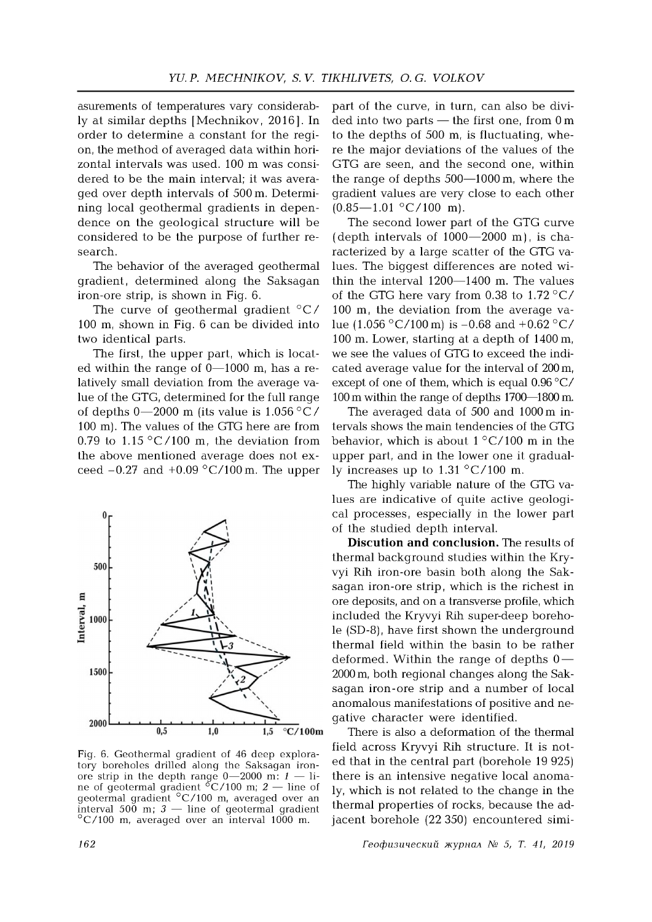asurements of temperatures vary considerably at similar depths [Mechnikov, 2016]. In order to determine a constant for the region, the method of averaged data within horizontal intervals was used. 100 m was considered to be the main interval; it was averaged over depth intervals of 500 m. Determining local geothermal gradients in dependence on the geological structure will be considered to be the purpose of further research.

The behavior of the averaged geothermal gradient, determined along the Saksagan iron-ore strip, is shown in Fig. 6.

The curve of geothermal gradient  $\mathrm{°C}/$ 100 m, shown in Fig. 6 can be divided into two identical parts.

The first, the upper part, which is located within the range of 0—1000 m, has a relatively small deviation from the average value of the GTG, determined for the full range of depths  $0-2000$  m (its value is 1.056 °C/ 100 m). The values of the GTG here are from 0.79 to 1.15 °C/100 m, the deviation from the above mentioned average does not exceed  $-0.27$  and  $+0.09$  °C/100 m. The upper



Fig. 6. Geothermal gradient of 46 deep exploratory boreholes drilled along the Saksagan ironore strip in the depth range  $0-2000$  m:  $1-$  line of geotermal gradient  $\rm{^{\circ}C/100}$  m;  $2-$  line of ne of geotermal gradient  $\rm ^{o}C/100$  m; 2 – geotermal gradient °C /100 m, averaged over an interval 500 m;  $3$  — line of geotermal gradient  $\rm{^{\circ}C/100}$  m, averaged over an interval 1000 m.

part of the curve, in turn, can also be divided into two parts — the first one, from 0 m to the depths of 500 m, is fluctuating, where the major deviations of the values of the GTG are seen, and the second one, within the range of depths 500—1000 m, where the gradient values are very close to each other  $(0.85 - 1.01 \degree C / 100 \text{ m}).$ 

The second lower part of the GTG curve (depth intervals of  $1000 - 2000$  m), is characterized by a large scatter of the GTG values. The biggest differences are noted within the interval 1200—1400 m. The values of the GTG here vary from 0.38 to  $1.72 \degree C/$ 100 m, the deviation from the average value (1.056 °C/100 m) is -0.68 and +0.62 °C/ 100 m. Lower, starting at a depth of 1400 m, we see the values of GTG to exceed the indicated average value for the interval of 200 m, except of one of them, which is equal 0.96 °C/ 100 m within the range of depths 1700—1800 m.

The averaged data of 500 and 1000 m intervals shows the main tendencies of the GTG behavior, which is about  $1 \degree C/100$  m in the upper part, and in the lower one it gradually increases up to  $1.31 \degree C / 100 \text{ m}$ .

The highly variable nature of the GTG values are indicative of quite active geological processes, especially in the lower part of the studied depth interval.

**Discution and conclusion.** The results of thermal background studies within the Kryvyi Rih iron-ore basin both along the Saksagan iron-ore strip, which is the richest in ore deposits, and on a transverse profile, which included the Kryvyi Rih super-deep borehole (SD-8), have first shown the underground thermal field within the basin to be rather deformed. Within the range of depths  $0-$ 2000 m, both regional changes along the Saksagan iron-ore strip and a number of local anomalous manifestations of positive and negative character were identified.

There is also a deformation of the thermal field across Kryvyi Rih structure. It is noted that in the central part (borehole 19 925) there is an intensive negative local anomaly, which is not related to the change in the thermal properties of rocks, because the adjacent borehole (22 350) encountered simi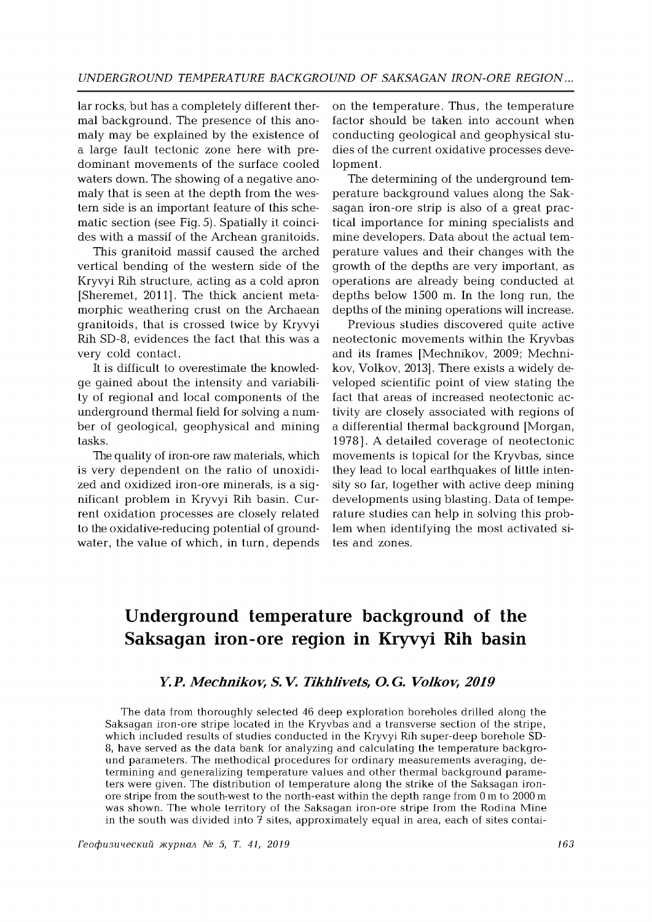lar rocks, but has a completely different thermal background. The presence of this anomaly may be explained by the existence of a large fault tectonic zone here with predominant movements of the surface cooled waters down. The showing of a negative anomaly that is seen at the depth from the western side is an important feature of this schematic section (see Fig. 5). Spatially it coincides with a massif of the Archean granitoids.

This granitoid massif caused the arched vertical bending of the western side of the Kryvyi Rih structure, acting as a cold apron [Sheremet, 2011]. The thick ancient metamorphic weathering crust on the Archaean granitoids, that is crossed twice by Kryvyi Rih SD-8, evidences the fact that this was a very cold contact.

It is difficult to overestimate the knowledge gained about the intensity and variability of regional and local components of the underground thermal field for solving a number of geological, geophysical and mining tasks.

The quality of iron-ore raw materials, which is very dependent on the ratio of unoxidized and oxidized iron-ore minerals, is a significant problem in Kryvyi Rih basin. Current oxidation processes are closely related to the oxidative-reducing potential of groundwater, the value of which, in turn, depends

on the temperature. Thus, the temperature factor should be taken into account when conducting geological and geophysical studies of the current oxidative processes development.

The determining of the underground temperature background values along the Saksagan iron-ore strip is also of a great practical importance for mining specialists and mine developers. Data about the actual tem perature values and their changes with the growth of the depths are very important, as operations are already being conducted at depths below 1500 m. In the long run, the depths of the mining operations will increase.

Previous studies discovered quite active neotectonic movements within the Kryvbas and its frames [Mechnikov, 2009; Mechnikov, Volkov, 2013]. There exists a widely developed scientific point of view stating the fact that areas of increased neotectonic activity are closely associated with regions of a differential thermal background [Morgan, 1978]. A detailed coverage of neotectonic movements is topical for the Kryvbas, since they lead to local earthquakes of little intensity so far, together with active deep mining developments using blasting. Data of temperature studies can help in solving this problem when identifying the most activated sites and zones.

# **Underground temperature background of the Saksagan iron-ore region in Kryvyi Rih basin**

## *Y. P. M echnikov, S. V. Tikhlivets, O. G. Volkov, 2019*

The data from thoroughly selected 46 deep exploration boreholes drilled along the Saksagan iron-ore stripe located in the Kryvbas and a transverse section of the stripe, which included results of studies conducted in the Kryvyi Rih super-deep borehole SD-8, have served as the data bank for analyzing and calculating the temperature background parameters. The methodical procedures for ordinary measurements averaging, determining and generalizing temperature values and other thermal background parameters were given. The distribution of temperature along the strike of the Saksagan ironore stripe from the south-west to the north-east w ithin the depth range from 0 m to 2000 m was shown. The whole territory of the Saksagan iron-ore stripe from the Rodina Mine in the south was divided into  $7$  sites, approximately equal in area, each of sites contai